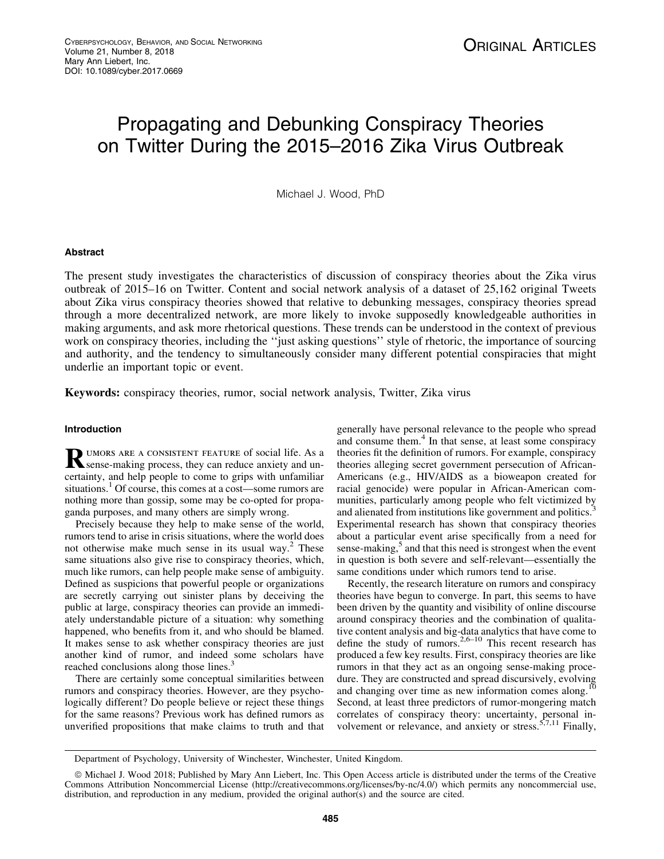# Propagating and Debunking Conspiracy Theories on Twitter During the 2015–2016 Zika Virus Outbreak

Michael J. Wood, PhD

## Abstract

The present study investigates the characteristics of discussion of conspiracy theories about the Zika virus outbreak of 2015–16 on Twitter. Content and social network analysis of a dataset of 25,162 original Tweets about Zika virus conspiracy theories showed that relative to debunking messages, conspiracy theories spread through a more decentralized network, are more likely to invoke supposedly knowledgeable authorities in making arguments, and ask more rhetorical questions. These trends can be understood in the context of previous work on conspiracy theories, including the ''just asking questions'' style of rhetoric, the importance of sourcing and authority, and the tendency to simultaneously consider many different potential conspiracies that might underlie an important topic or event.

Keywords: conspiracy theories, rumor, social network analysis, Twitter, Zika virus

# Introduction

RUMORS ARE A CONSISTENT FEATURE of social life. As a sense-making process, they can reduce anxiety and uncertainty, and help people to come to grips with unfamiliar situations.<sup>1</sup> Of course, this comes at a cost—some rumors are nothing more than gossip, some may be co-opted for propaganda purposes, and many others are simply wrong.

Precisely because they help to make sense of the world, rumors tend to arise in crisis situations, where the world does not otherwise make much sense in its usual way. $2$  These same situations also give rise to conspiracy theories, which, much like rumors, can help people make sense of ambiguity. Defined as suspicions that powerful people or organizations are secretly carrying out sinister plans by deceiving the public at large, conspiracy theories can provide an immediately understandable picture of a situation: why something happened, who benefits from it, and who should be blamed. It makes sense to ask whether conspiracy theories are just another kind of rumor, and indeed some scholars have reached conclusions along those lines.<sup>3</sup>

There are certainly some conceptual similarities between rumors and conspiracy theories. However, are they psychologically different? Do people believe or reject these things for the same reasons? Previous work has defined rumors as unverified propositions that make claims to truth and that

generally have personal relevance to the people who spread and consume them.<sup>4</sup> In that sense, at least some conspiracy theories fit the definition of rumors. For example, conspiracy theories alleging secret government persecution of African-Americans (e.g., HIV/AIDS as a bioweapon created for racial genocide) were popular in African-American communities, particularly among people who felt victimized by and alienated from institutions like government and politics.<sup>3</sup> Experimental research has shown that conspiracy theories about a particular event arise specifically from a need for sense-making,<sup>5</sup> and that this need is strongest when the event in question is both severe and self-relevant—essentially the same conditions under which rumors tend to arise.

Recently, the research literature on rumors and conspiracy theories have begun to converge. In part, this seems to have been driven by the quantity and visibility of online discourse around conspiracy theories and the combination of qualitative content analysis and big-data analytics that have come to define the study of rumors.<sup>2,6–10</sup> This recent research has produced a few key results. First, conspiracy theories are like rumors in that they act as an ongoing sense-making procedure. They are constructed and spread discursively, evolving and changing over time as new information comes along.<sup>1</sup> Second, at least three predictors of rumor-mongering match correlates of conspiracy theory: uncertainty, personal involvement or relevance, and anxiety or stress.<sup>5,7,11</sup> Finally,

Department of Psychology, University of Winchester, Winchester, United Kingdom.

ª Michael J. Wood 2018; Published by Mary Ann Liebert, Inc. This Open Access article is distributed under the terms of the Creative Commons Attribution Noncommercial License (http://creativecommons.org/licenses/by-nc/4.0/) which permits any noncommercial use, distribution, and reproduction in any medium, provided the original author(s) and the source are cited.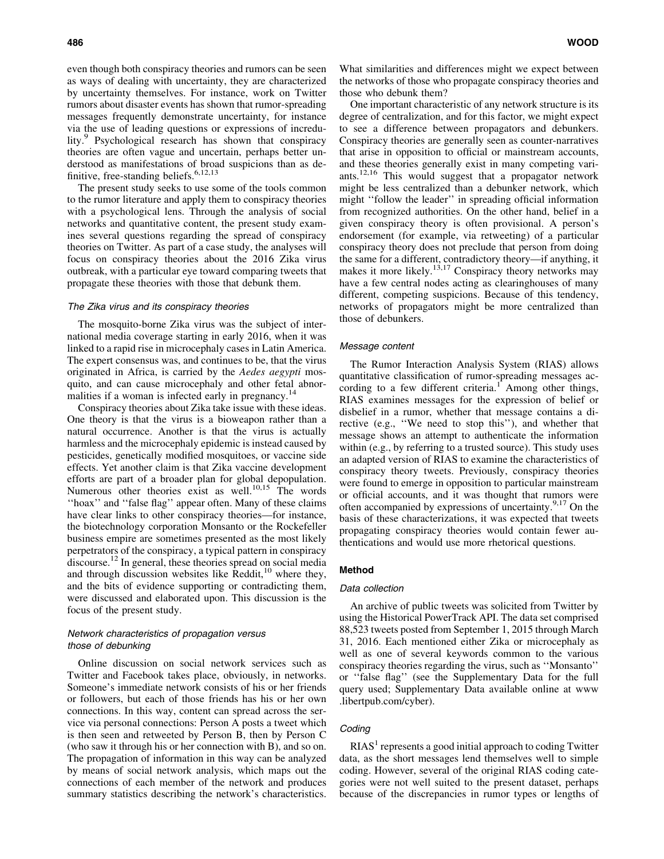even though both conspiracy theories and rumors can be seen as ways of dealing with uncertainty, they are characterized by uncertainty themselves. For instance, work on Twitter rumors about disaster events has shown that rumor-spreading messages frequently demonstrate uncertainty, for instance via the use of leading questions or expressions of incredulity.<sup>9</sup> Psychological research has shown that conspiracy theories are often vague and uncertain, perhaps better understood as manifestations of broad suspicions than as definitive, free-standing beliefs.6,12,13

The present study seeks to use some of the tools common to the rumor literature and apply them to conspiracy theories with a psychological lens. Through the analysis of social networks and quantitative content, the present study examines several questions regarding the spread of conspiracy theories on Twitter. As part of a case study, the analyses will focus on conspiracy theories about the 2016 Zika virus outbreak, with a particular eye toward comparing tweets that propagate these theories with those that debunk them.

#### The Zika virus and its conspiracy theories

The mosquito-borne Zika virus was the subject of international media coverage starting in early 2016, when it was linked to a rapid rise in microcephaly cases in Latin America. The expert consensus was, and continues to be, that the virus originated in Africa, is carried by the *Aedes aegypti* mosquito, and can cause microcephaly and other fetal abnormalities if a woman is infected early in pregnancy.<sup>14</sup>

Conspiracy theories about Zika take issue with these ideas. One theory is that the virus is a bioweapon rather than a natural occurrence. Another is that the virus is actually harmless and the microcephaly epidemic is instead caused by pesticides, genetically modified mosquitoes, or vaccine side effects. Yet another claim is that Zika vaccine development efforts are part of a broader plan for global depopulation. Numerous other theories exist as well.<sup>10,15</sup> The words ''hoax'' and ''false flag'' appear often. Many of these claims have clear links to other conspiracy theories—for instance, the biotechnology corporation Monsanto or the Rockefeller business empire are sometimes presented as the most likely perpetrators of the conspiracy, a typical pattern in conspiracy discourse.<sup>12</sup> In general, these theories spread on social media and through discussion websites like Reddit, $10$  where they, and the bits of evidence supporting or contradicting them, were discussed and elaborated upon. This discussion is the focus of the present study.

# Network characteristics of propagation versus those of debunking

Online discussion on social network services such as Twitter and Facebook takes place, obviously, in networks. Someone's immediate network consists of his or her friends or followers, but each of those friends has his or her own connections. In this way, content can spread across the service via personal connections: Person A posts a tweet which is then seen and retweeted by Person B, then by Person C (who saw it through his or her connection with B), and so on. The propagation of information in this way can be analyzed by means of social network analysis, which maps out the connections of each member of the network and produces summary statistics describing the network's characteristics.

What similarities and differences might we expect between the networks of those who propagate conspiracy theories and those who debunk them?

One important characteristic of any network structure is its degree of centralization, and for this factor, we might expect to see a difference between propagators and debunkers. Conspiracy theories are generally seen as counter-narratives that arise in opposition to official or mainstream accounts, and these theories generally exist in many competing variants.12,16 This would suggest that a propagator network might be less centralized than a debunker network, which might ''follow the leader'' in spreading official information from recognized authorities. On the other hand, belief in a given conspiracy theory is often provisional. A person's endorsement (for example, via retweeting) of a particular conspiracy theory does not preclude that person from doing the same for a different, contradictory theory—if anything, it makes it more likely.<sup>13,17</sup> Conspiracy theory networks may have a few central nodes acting as clearinghouses of many different, competing suspicions. Because of this tendency, networks of propagators might be more centralized than those of debunkers.

## Message content

The Rumor Interaction Analysis System (RIAS) allows quantitative classification of rumor-spreading messages according to a few different criteria.<sup>1</sup> Among other things, RIAS examines messages for the expression of belief or disbelief in a rumor, whether that message contains a directive (e.g., ''We need to stop this''), and whether that message shows an attempt to authenticate the information within (e.g., by referring to a trusted source). This study uses an adapted version of RIAS to examine the characteristics of conspiracy theory tweets. Previously, conspiracy theories were found to emerge in opposition to particular mainstream or official accounts, and it was thought that rumors were often accompanied by expressions of uncertainty. $9,17$  On the basis of these characterizations, it was expected that tweets propagating conspiracy theories would contain fewer authentications and would use more rhetorical questions.

## Method

#### Data collection

An archive of public tweets was solicited from Twitter by using the Historical PowerTrack API. The data set comprised 88,523 tweets posted from September 1, 2015 through March 31, 2016. Each mentioned either Zika or microcephaly as well as one of several keywords common to the various conspiracy theories regarding the virus, such as ''Monsanto'' or ''false flag'' (see the Supplementary Data for the full query used; Supplementary Data available online at www .libertpub.com/cyber).

## **Coding**

 $RIAS<sup>1</sup>$  represents a good initial approach to coding Twitter data, as the short messages lend themselves well to simple coding. However, several of the original RIAS coding categories were not well suited to the present dataset, perhaps because of the discrepancies in rumor types or lengths of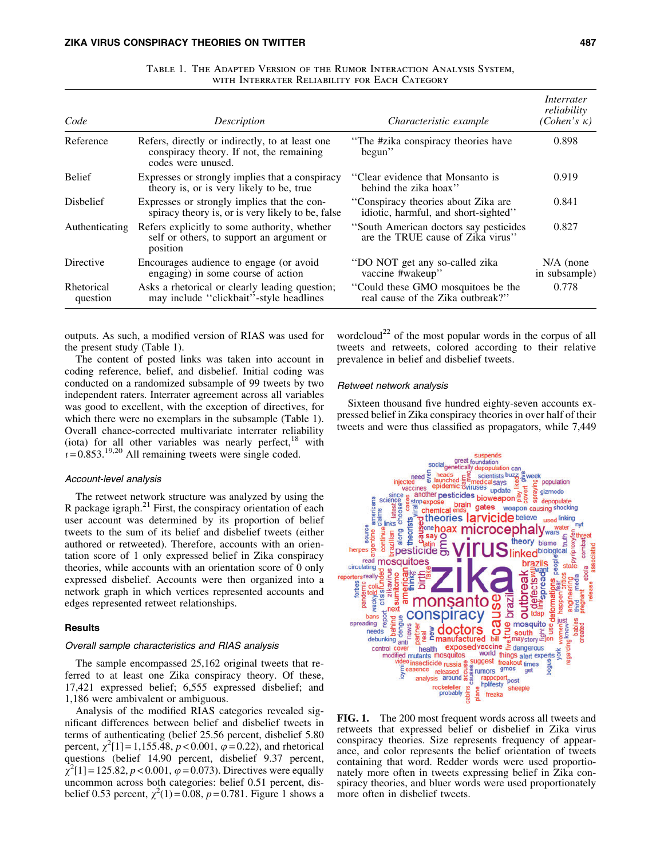| Code                   | Description                                                                                                       | Characteristic example                                                       | Interrater<br>reliability<br>$(Cohen's \kappa)$ |
|------------------------|-------------------------------------------------------------------------------------------------------------------|------------------------------------------------------------------------------|-------------------------------------------------|
| Reference              | Refers, directly or indirectly, to at least one<br>conspiracy theory. If not, the remaining<br>codes were unused. | "The #zika conspiracy theories have<br>begun"                                | 0.898                                           |
| <b>Belief</b>          | Expresses or strongly implies that a conspiracy<br>theory is, or is very likely to be, true                       | "Clear evidence that Monsanto is<br>behind the zika hoax"                    | 0.919                                           |
| <b>Dishelief</b>       | Expresses or strongly implies that the con-<br>spiracy theory is, or is very likely to be, false                  | "Conspiracy theories about Zika are<br>idiotic, harmful, and short-sighted"  | 0.841                                           |
| Authenticating         | Refers explicitly to some authority, whether<br>self or others, to support an argument or<br>position             | "South American doctors say pesticides"<br>are the TRUE cause of Zika virus" | 0.827                                           |
| Directive              | Encourages audience to engage (or avoid<br>engaging) in some course of action                                     | "DO NOT get any so-called zika<br>vaccine #wakeup"                           | $N/A$ (none<br>in subsample)                    |
| Rhetorical<br>question | Asks a rhetorical or clearly leading question;<br>may include "clickbait"-style headlines                         | "Could these GMO mosquitoes be the<br>real cause of the Zika outbreak?"      | 0.778                                           |

Table 1. The Adapted Version of the Rumor Interaction Analysis System, WITH INTERRATER RELIABILITY FOR EACH CATEGORY

outputs. As such, a modified version of RIAS was used for the present study (Table 1).

The content of posted links was taken into account in coding reference, belief, and disbelief. Initial coding was conducted on a randomized subsample of 99 tweets by two independent raters. Interrater agreement across all variables was good to excellent, with the exception of directives, for which there were no exemplars in the subsample (Table 1). Overall chance-corrected multivariate interrater reliability (iota) for all other variables was nearly perfect, $18$  with  $i = 0.853$ <sup>19,20</sup> All remaining tweets were single coded.

## Account-level analysis

The retweet network structure was analyzed by using the R package igraph. $^{21}$  First, the conspiracy orientation of each user account was determined by its proportion of belief tweets to the sum of its belief and disbelief tweets (either authored or retweeted). Therefore, accounts with an orientation score of 1 only expressed belief in Zika conspiracy theories, while accounts with an orientation score of 0 only expressed disbelief. Accounts were then organized into a network graph in which vertices represented accounts and edges represented retweet relationships.

# **Results**

#### Overall sample characteristics and RIAS analysis

The sample encompassed 25,162 original tweets that referred to at least one Zika conspiracy theory. Of these, 17,421 expressed belief; 6,555 expressed disbelief; and 1,186 were ambivalent or ambiguous.

Analysis of the modified RIAS categories revealed significant differences between belief and disbelief tweets in terms of authenticating (belief 25.56 percent, disbelief 5.80 percent,  $\chi^2[1] = 1,155.\overline{48}, p < 0.001, \varphi = 0.22$ ), and rhetorical questions (belief 14.90 percent, disbelief 9.37 percent,  $\chi^2[1] = 125.82, p < 0.001, \varphi = 0.073$ ). Directives were equally uncommon across both categories: belief 0.51 percent, disbelief 0.53 percent,  $\chi^2(1) = 0.08$ ,  $p = 0.781$ . Figure 1 shows a

wordcloud<sup>22</sup> of the most popular words in the corpus of all tweets and retweets, colored according to their relative prevalence in belief and disbelief tweets.

#### Retweet network analysis

Sixteen thousand five hundred eighty-seven accounts expressed belief in Zika conspiracy theories in over half of their tweets and were thus classified as propagators, while 7,449



FIG. 1. The 200 most frequent words across all tweets and retweets that expressed belief or disbelief in Zika virus conspiracy theories. Size represents frequency of appearance, and color represents the belief orientation of tweets containing that word. Redder words were used proportionately more often in tweets expressing belief in Zika conspiracy theories, and bluer words were used proportionately more often in disbelief tweets.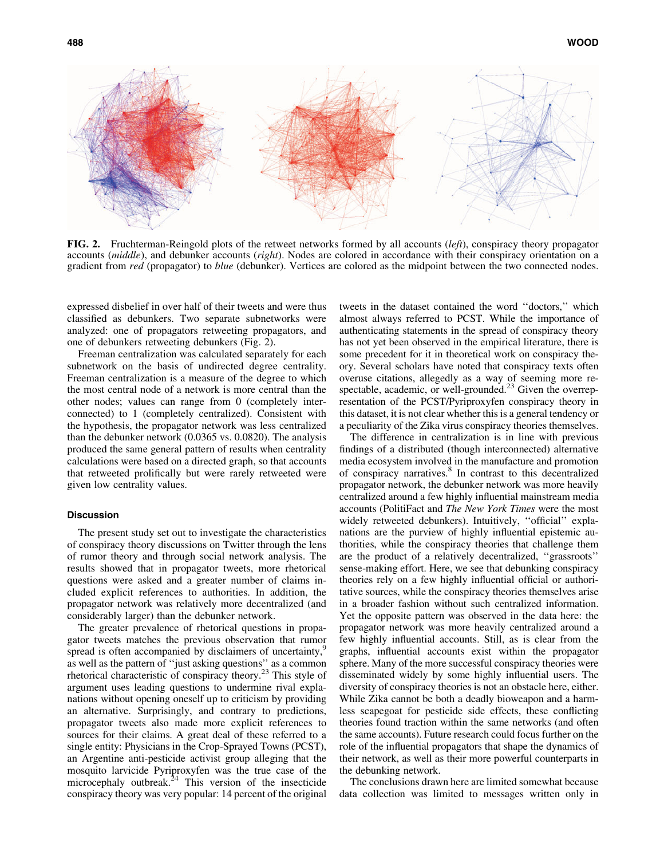

FIG. 2. Fruchterman-Reingold plots of the retweet networks formed by all accounts (*left*), conspiracy theory propagator accounts (*middle*), and debunker accounts (*right*). Nodes are colored in accordance with their conspiracy orientation on a gradient from *red* (propagator) to *blue* (debunker). Vertices are colored as the midpoint between the two connected nodes.

expressed disbelief in over half of their tweets and were thus classified as debunkers. Two separate subnetworks were analyzed: one of propagators retweeting propagators, and one of debunkers retweeting debunkers (Fig. 2).

Freeman centralization was calculated separately for each subnetwork on the basis of undirected degree centrality. Freeman centralization is a measure of the degree to which the most central node of a network is more central than the other nodes; values can range from 0 (completely interconnected) to 1 (completely centralized). Consistent with the hypothesis, the propagator network was less centralized than the debunker network (0.0365 vs. 0.0820). The analysis produced the same general pattern of results when centrality calculations were based on a directed graph, so that accounts that retweeted prolifically but were rarely retweeted were given low centrality values.

#### **Discussion**

The present study set out to investigate the characteristics of conspiracy theory discussions on Twitter through the lens of rumor theory and through social network analysis. The results showed that in propagator tweets, more rhetorical questions were asked and a greater number of claims included explicit references to authorities. In addition, the propagator network was relatively more decentralized (and considerably larger) than the debunker network.

The greater prevalence of rhetorical questions in propagator tweets matches the previous observation that rumor spread is often accompanied by disclaimers of uncertainty, as well as the pattern of ''just asking questions'' as a common rhetorical characteristic of conspiracy theory.<sup>23</sup> This style of argument uses leading questions to undermine rival explanations without opening oneself up to criticism by providing an alternative. Surprisingly, and contrary to predictions, propagator tweets also made more explicit references to sources for their claims. A great deal of these referred to a single entity: Physicians in the Crop-Sprayed Towns (PCST), an Argentine anti-pesticide activist group alleging that the mosquito larvicide Pyriproxyfen was the true case of the microcephaly outbreak.<sup>24</sup> This version of the insecticide conspiracy theory was very popular: 14 percent of the original

tweets in the dataset contained the word ''doctors,'' which almost always referred to PCST. While the importance of authenticating statements in the spread of conspiracy theory has not yet been observed in the empirical literature, there is some precedent for it in theoretical work on conspiracy theory. Several scholars have noted that conspiracy texts often overuse citations, allegedly as a way of seeming more respectable, academic, or well-grounded. $^{23}$  Given the overrepresentation of the PCST/Pyriproxyfen conspiracy theory in this dataset, it is not clear whether this is a general tendency or a peculiarity of the Zika virus conspiracy theories themselves.

The difference in centralization is in line with previous findings of a distributed (though interconnected) alternative media ecosystem involved in the manufacture and promotion of conspiracy narratives.<sup>8</sup> In contrast to this decentralized propagator network, the debunker network was more heavily centralized around a few highly influential mainstream media accounts (PolitiFact and *The New York Times* were the most widely retweeted debunkers). Intuitively, ''official'' explanations are the purview of highly influential epistemic authorities, while the conspiracy theories that challenge them are the product of a relatively decentralized, ''grassroots'' sense-making effort. Here, we see that debunking conspiracy theories rely on a few highly influential official or authoritative sources, while the conspiracy theories themselves arise in a broader fashion without such centralized information. Yet the opposite pattern was observed in the data here: the propagator network was more heavily centralized around a few highly influential accounts. Still, as is clear from the graphs, influential accounts exist within the propagator sphere. Many of the more successful conspiracy theories were disseminated widely by some highly influential users. The diversity of conspiracy theories is not an obstacle here, either. While Zika cannot be both a deadly bioweapon and a harmless scapegoat for pesticide side effects, these conflicting theories found traction within the same networks (and often the same accounts). Future research could focus further on the role of the influential propagators that shape the dynamics of their network, as well as their more powerful counterparts in the debunking network.

The conclusions drawn here are limited somewhat because data collection was limited to messages written only in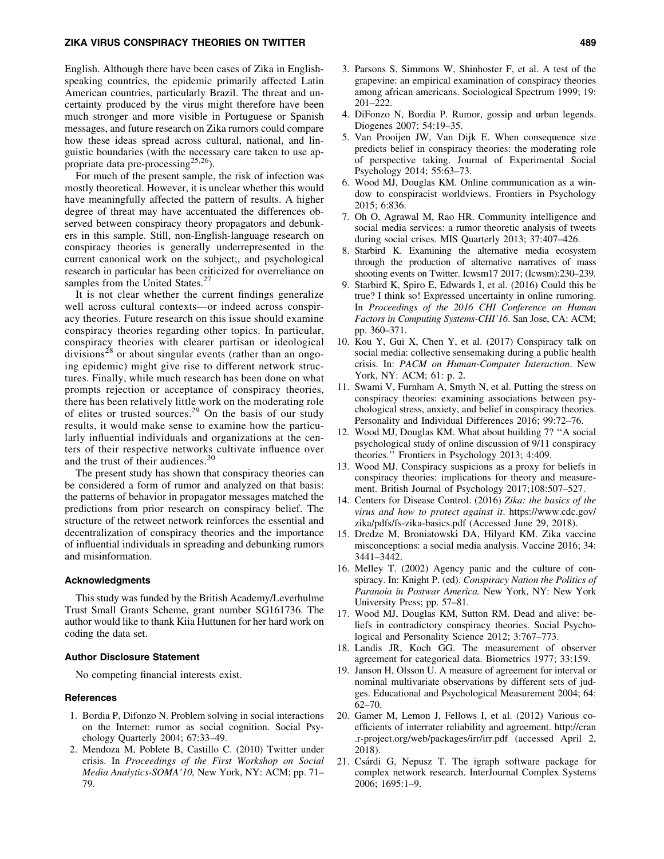## ZIKA VIRUS CONSPIRACY THEORIES ON TWITTER 489

English. Although there have been cases of Zika in Englishspeaking countries, the epidemic primarily affected Latin American countries, particularly Brazil. The threat and uncertainty produced by the virus might therefore have been much stronger and more visible in Portuguese or Spanish messages, and future research on Zika rumors could compare how these ideas spread across cultural, national, and linguistic boundaries (with the necessary care taken to use appropriate data pre-processing<sup>25,26</sup>).

For much of the present sample, the risk of infection was mostly theoretical. However, it is unclear whether this would have meaningfully affected the pattern of results. A higher degree of threat may have accentuated the differences observed between conspiracy theory propagators and debunkers in this sample. Still, non-English-language research on conspiracy theories is generally underrepresented in the current canonical work on the subject;, and psychological research in particular has been criticized for overreliance on samples from the United States.<sup>27</sup>

It is not clear whether the current findings generalize well across cultural contexts—or indeed across conspiracy theories. Future research on this issue should examine conspiracy theories regarding other topics. In particular, conspiracy theories with clearer partisan or ideological divisions<sup>28</sup> or about singular events (rather than an ongoing epidemic) might give rise to different network structures. Finally, while much research has been done on what prompts rejection or acceptance of conspiracy theories, there has been relatively little work on the moderating role of elites or trusted sources.<sup>29</sup> On the basis of our study results, it would make sense to examine how the particularly influential individuals and organizations at the centers of their respective networks cultivate influence over and the trust of their audiences.<sup>30</sup>

The present study has shown that conspiracy theories can be considered a form of rumor and analyzed on that basis: the patterns of behavior in propagator messages matched the predictions from prior research on conspiracy belief. The structure of the retweet network reinforces the essential and decentralization of conspiracy theories and the importance of influential individuals in spreading and debunking rumors and misinformation.

#### Acknowledgments

This study was funded by the British Academy/Leverhulme Trust Small Grants Scheme, grant number SG161736. The author would like to thank Kiia Huttunen for her hard work on coding the data set.

#### Author Disclosure Statement

No competing financial interests exist.

## **References**

- 1. Bordia P, Difonzo N. Problem solving in social interactions on the Internet: rumor as social cognition. Social Psychology Quarterly 2004; 67:33–49.
- 2. Mendoza M, Poblete B, Castillo C. (2010) Twitter under crisis. In *Proceedings of the First Workshop on Social Media Analytics-SOMA'10,* New York, NY: ACM; pp. 71– 79.
- 3. Parsons S, Simmons W, Shinhoster F, et al. A test of the grapevine: an empirical examination of conspiracy theories among african americans. Sociological Spectrum 1999; 19: 201–222.
- 4. DiFonzo N, Bordia P. Rumor, gossip and urban legends. Diogenes 2007; 54:19–35.
- 5. Van Prooijen JW, Van Dijk E. When consequence size predicts belief in conspiracy theories: the moderating role of perspective taking. Journal of Experimental Social Psychology 2014; 55:63–73.
- 6. Wood MJ, Douglas KM. Online communication as a window to conspiracist worldviews. Frontiers in Psychology 2015; 6:836.
- 7. Oh O, Agrawal M, Rao HR. Community intelligence and social media services: a rumor theoretic analysis of tweets during social crises. MIS Quarterly 2013; 37:407–426.
- 8. Starbird K. Examining the alternative media ecosystem through the production of alternative narratives of mass shooting events on Twitter. Icwsm17 2017; (Icwsm):230–239.
- 9. Starbird K, Spiro E, Edwards I, et al. (2016) Could this be true? I think so! Expressed uncertainty in online rumoring. In *Proceedings of the 2016 CHI Conference on Human Factors in Computing Systems-CHI'16*. San Jose, CA: ACM; pp. 360–371.
- 10. Kou Y, Gui X, Chen Y, et al. (2017) Conspiracy talk on social media: collective sensemaking during a public health crisis. In: *PACM on Human-Computer Interaction*. New York, NY: ACM; 61: p. 2.
- 11. Swami V, Furnham A, Smyth N, et al. Putting the stress on conspiracy theories: examining associations between psychological stress, anxiety, and belief in conspiracy theories. Personality and Individual Differences 2016; 99:72–76.
- 12. Wood MJ, Douglas KM. What about building 7? ''A social psychological study of online discussion of 9/11 conspiracy theories.'' Frontiers in Psychology 2013; 4:409.
- 13. Wood MJ. Conspiracy suspicions as a proxy for beliefs in conspiracy theories: implications for theory and measurement. British Journal of Psychology 2017;108:507–527.
- 14. Centers for Disease Control. (2016) *Zika: the basics of the virus and how to protect against it*. https://www.cdc.gov/ zika/pdfs/fs-zika-basics.pdf (Accessed June 29, 2018).
- 15. Dredze M, Broniatowski DA, Hilyard KM. Zika vaccine misconceptions: a social media analysis. Vaccine 2016; 34: 3441–3442.
- 16. Melley T. (2002) Agency panic and the culture of conspiracy. In: Knight P. (ed). *Conspiracy Nation the Politics of Paranoia in Postwar America.* New York, NY: New York University Press; pp. 57–81.
- 17. Wood MJ, Douglas KM, Sutton RM. Dead and alive: beliefs in contradictory conspiracy theories. Social Psychological and Personality Science 2012; 3:767–773.
- 18. Landis JR, Koch GG. The measurement of observer agreement for categorical data. Biometrics 1977; 33:159.
- 19. Janson H, Olsson U. A measure of agreement for interval or nominal multivariate observations by different sets of judges. Educational and Psychological Measurement 2004; 64: 62–70.
- 20. Gamer M, Lemon J, Fellows I, et al. (2012) Various coefficients of interrater reliability and agreement. http://cran .r-project.org/web/packages/irr/irr.pdf (accessed April 2, 2018).
- 21. Csárdi G, Nepusz T. The igraph software package for complex network research. InterJournal Complex Systems 2006; 1695:1–9.